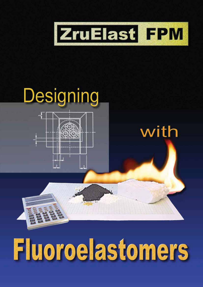



# Fluoroelastomers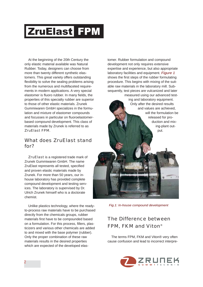At the beginning of the 20th Century the only elastic material available was Natural Rubber. Today, designers can choose from more than twenty different synthetic elastomers. This great variety offers outstanding flexibility to solve the sealing problems arising from the numerous and multifaceted requirements in modern applications. A very special elastomer is fluoro rubber. In many fields, the properties of this specialty rubber are superior to those of other elastic materials. Zrunek Gummiwaren GmbH specializes in the formulation and mixture of elastomer compounds and focusses in particular on fluoroelastomerbased compound development. This class of materials made by Zrunek is referred to as ZruElast FPM.

### What does ZruElast stand for?

ZruElast is a registered trade mark of Zrunek Gummiwaren GmbH. The name ZruElast represents all tested, specified and proven elastic materials made by Zrunek. For more than 50 years, our inhouse laboratory has provided complete compound development and testing services. The laboratory is supervised by Dr. Ulrich Zrunek himself who is a doctorate chemist.

Unlike plastics technology, where the readyto-process raw materials have to be purchased directly from the chemicals groups, rubber materials first have to be compounded based on a formulation. For this process, fillers, plasticizers and various other chemicals are added to and mixed with the base polymer (rubber). Only the proper combination of these raw materials results in the desired properties which are expected of the developed elastomer. Rubber formulation and compound development not only requires extensive expertise and experience, but also appropriate laboratory facilities and equipment. *Figure 1* shows the first steps of the rubber formulating procedure. This begins with mixing of the suitable raw materials in the laboratory mill. Subsequently, test pieces are vulcanized and later measured using our advanced test-

ing and laboratory equipment. Only after the desired results and values are achieved, will the formulation be released for production and mixing-plant output.

*Fig.1: In-house compound development*

# The Difference between FPM, FKM and Viton®

The terms FPM, FKM and Viton® very often cause confusion and lead to incorrect interpre-

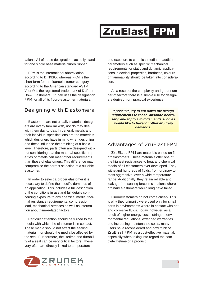tations. All of these designations actually stand for one single base material:fluoro rubber.

FPM is the international abbreviation according to DIN/ISO, whereas FKM is the short form for the fluoroelastomer category according to the American standard ASTM. Viton® is the registered trade mark of DuPont Dow- Elastomers. Zrunek uses the designation FPM for all of its fluoro-elastomer materials.

### Designing with Elastomers

Elastomers are not usually materials designers are overly familiar with, nor do they deal with them day-to-day. In general, metals and their individual specifications are the materials which designers have in mind when designing and these influence their thinking at a basic level. Therefore, parts often are designed without considering that the material-specific properties of metals can meet other requirements than those of elastomers. This difference may compromise the correct selection of a suitable elastomer.

In order to select a proper elastomer it is necessary to define the specific demands of an application. This includes a full description of the conditions in use and full details concerning exposure to any chemical media, thermal resistance requirements, compression load, mechanical stresses as well as information about time-related factors.

Particular attention should be turned to the media with which the elastomer is in contact. These media should not affect the sealing material, nor should the media be affected by the seal. Furthermore, the lifetime and durability of a seal can be very critical factors. These very often are directly linked to temperature

and exposure to chemical media. In addition, parameters such as specific mechanical requirements for static and dynamic applications, electrical properties, hardness, colours or flammability should be taken into consideration.

As a result of the complexity and great number of factors there is a simple rule for designers derived from practical experience:

*If possible, try to cut down the design requirements to those 'absolute necessary' and try to avoid demands such as 'would like to have' or other arbitrary demands.*

### Advantages of ZruElast FPM

ZruElast FPM are materials based on fluoroelastomers. These materials offer one of the highest resistances to heat and chemical media of all elastomers ever developed. They withstand hundreds of fluids, from ordinary to most aggressive, over a wide temperature range. Additionally, they retain reliable and leakage free sealing force in situations where ordinary elastomers would long have failed

Fluoroelastomers do not come cheap. This is why they primarily were used only for small parts in environments where in contact with hot and corrosive fluids. Today, however, as a result of higher energy costs, stringent environmental regulations, extended warranties and increasing maintenance costs, many users have reconsidered and now think of ZruElast FPM as a cost-effective material, especially when taking into regard the complete lifetime of a product.

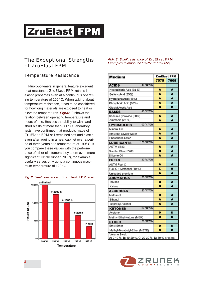## The Exceptional Strengths of ZruElast FPM

### *Temperature Resistance*

Fluoropolymers in general feature excellent heat resistance. ZruElast FPM retains its elastic properties even at a continuous operating temperature of 200° C. When talking about temperature resistance, it has to be considered for how long materials are exposed to heat or elevated temperatures. *Figure 2* shows the relation between operating temperature and hours of use. Besides the ability to withstand short blasts of more than 300° C, laboratory tests have confirmed that products made of ZruElast FPM still remained soft and elastic even after ageing in a heat cabinet over a period of three years at a temperature of 190° C. If you compare these values with the performance of other elastomers they seem even more significant. Nitrile rubber (NBR), for example, usefully serves only up to a continuous maximum temperature of 120° C.



#### *Fig. 2: Heat resistance of ZruElast FPM in air*

#### *Abb. 3: Swell resistance of ZruElast FPM Examples (Compound "7575" und "7009")*

| <b>Medium</b>                                      | <b>ZruElast FPM</b> |      |  |
|----------------------------------------------------|---------------------|------|--|
|                                                    | 7575                | 7009 |  |
| 40 °C/70h<br><b>ACIDS</b>                          |                     |      |  |
| Hydrochloric Acid (35 %)                           | A                   | A    |  |
| Sulfuric Acid (35%)                                | A                   | A    |  |
| Hydrofluric Acid (48%)                             | A                   | A    |  |
| Phosphoric Acid (60%)                              | A                   | A    |  |
| Glacial Acetic Acid                                | D                   | D    |  |
| 40 °C/70h<br><b>BASES</b>                          |                     |      |  |
| Sodium Hydroxide (50%)                             | A                   | A    |  |
| Ammonia (25 %)                                     | A                   | A    |  |
| 100 °C/70h<br><b>HYDRAULICS</b>                    |                     |      |  |
| Mineral Oil                                        | A                   | A    |  |
| Ethylene Glycol/Water                              | A                   | A    |  |
| Phosphoric Ester                                   | A                   | A    |  |
| 175 °C/70h<br><b>LUBRICANTS</b>                    |                     |      |  |
| ASTM oil #3                                        | A                   | A    |  |
| Stauffer Blend 7700                                | в                   | A    |  |
| Silicone Oil                                       | A                   | A    |  |
| 20 °C/70h<br><b>FUELS</b>                          |                     |      |  |
| <b>ASTM Fuel C</b>                                 | A                   | A    |  |
| Fuel C + Methanol (10 %)                           | c                   | B    |  |
| Unleaded premium                                   | A                   | A    |  |
| 20 °C/70h<br><b>AROMATICS</b>                      |                     |      |  |
| Toluene                                            | в                   | A    |  |
| Xylene                                             | в                   | A    |  |
| 20 °C/70h<br><b>ALCOHOLS</b>                       |                     |      |  |
| Methanol                                           | D                   | A    |  |
| Ethanol                                            | A                   | A    |  |
| Isopropyl Alcohol                                  | A                   | A    |  |
| 20 °C/70h<br><b>KETONES</b>                        |                     |      |  |
| Acetone                                            | D                   | D    |  |
| Methyl-Ethyl-Ketone (MEK)                          | D                   | D    |  |
| 20 °C/70h<br><b>ETHER</b>                          |                     |      |  |
| Ethyl Ether                                        | D                   | D    |  |
| Methyl-Tetrabutyl-Ether (MBTE)                     | D                   | D    |  |
| Volume Swell:                                      |                     |      |  |
| A: 0-10 %, B: 10-20 %, C: 20-30 %, D: 30 % or more |                     |      |  |

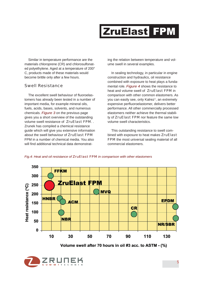Similar in temperature performance are the materials chloroprene (CR) and chlorosulfonated polyethylene. Aged at a temperature of 200° C, products made of these materials would become brittle only after a few hours.

#### *Swell Resistance*

The excellent swell behaviour of fluoroelastomers has already been tested in a number of important media, for example mineral oils, fuels, acids, bases, solvents, and numerous chemicals. *Figure 3* on the previous page gives you a short overview of the outstanding volume swell resistance of ZruElast FPM. . Zrunek has compiled a chemical resistance guide which will give you extensive information about the swell behaviour of ZruElast FPM FPM in a number of chemical media. You also will find additional technical data demonstrating the relation between temperature and volume swell in several examples.

In sealing technology, in particular in engine construction and hydraulics, oil resistance combined with exposure to heat plays a fundamental role. *Figure 4* shows the resistance to heat and volume swell of ZruElast FPM in comparison with other common elastomers. As you can easily see, only Kalrez®, an extremely expensive perfluoroelastomer, delivers better performance. All other commercially processed elastomers neither achieve the thermal stability of ZruElast FPM nor feature the same low volume swell characteristics.

This outstanding resistance to swell combined with exposure to heat makes ZruElast FPM the most universal sealing material of all commercial elastomers.

*Fig.4: Heat and oil resistance of ZruElast FPM in comparison with other elastomers*



Volume swell after 70 hours in oil #3 acc. to ASTM - (%)

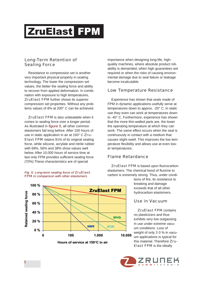#### *Long-Term Retention of Sealing Force*

Resistance to compression set is another very important physical property in sealing technology. The lower the compression set values, the better the sealing force and ability to recover from applied deformation. In combination with exposure to high temperatures, ZruElast FPM further shows its superior compression set properties. Without any problems values of 8% at 200° C can be achieved.

ZruElast FPM is also unbeatable when it comes to sealing force over a longer period. As illustrated in *figure 5*, all other common elastomers fail long before. After 100 hours of use in static application in air at 150° C Zru-Elast FPM retains 91% of its original sealing force, while silicone, acrylate and nitrile rubber with 69%, 56% and 38% show values well below. After 10,000 hours of service time at last only FPM provides sufficient sealing force (70%) These characteristics are of special

#### *Fig. 5: Long-term sealing force of ZruElast FPM in comparison with other elastomers*



importance when designing long-life, highquality machines, where absolute product reliability is demanded, when high guarantees are required or when the risks of causing environmental damage due to seal failure or leakage become incalculable

#### *Low Temperature Resistance*

Experience has shown that seals made of FPM in dynamic applications usefully serve at temperatures down to approx. -20° C. In static use they even can work at temperatures down to -40° C. Furthermore, experience has shown that the more thin-walled parts are, the lower the operating temperature at which they can work. The same effect occurs when the seal is continuously in contact with a medium that causes slight swell. This improves the low temperature flexibility and allows use at even lower temperatures.

#### *Flame Retardance*

ZruElast FPM is based upon fluorocarbon elastomers. The chemical bond of fluorine to carbon is extremely strong. Thus, under condi-

> tions of fire, its resistance to breaking and damage exceeds that of all other hydrocarbon elastomers.

### *Use in Vacuum*

ZruElast FPM contains no plasticizers and thus exhibits very low outgassing in use under extreme vacuum conditions. Loss of weight of only 2-3 % in vacuum applications is typical for this material. Therefore Zru-Elast FPM is the ideally

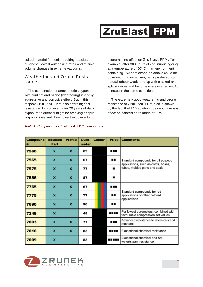suited material for seals requiring absolute pureness, lowest outgassing rates and minimal volume changes in extreme vacuums.

#### *Weathering and Ozone Resistance*

The combination of atmospheric oxygen with sunlight and ozone (weathering) is a very aggressive and corrosive effect. But in this respect ZruElast FPM also offers highest resistance. In fact, even after 20 years of daily exposure to direct sunlight no cracking or splitting was observed. Even direct exposure to

ozone has no effect on ZruElast FPM. For example, after 300 hours of continuous ageing at a temperature of 60° C in an environment containing 150 ppm ozone no cracks could be observed. In comparison, parts produced from natural rubber would end up with cracked and split surfaces and become useless after just 10 minutes in the same conditions.

The extremely good weathering and ozone resistance of ZruElast FPM also is shown by the fact that UV-radiation does not have any effect on colored parts made of FPM.

| <b>Compound</b><br># | <b>Moulded</b><br>Part | <b>Profile</b>   | Duro-<br>meter | <b>Colour</b> | <b>Price</b> | <b>Comments</b>                                                             |  |  |
|----------------------|------------------------|------------------|----------------|---------------|--------------|-----------------------------------------------------------------------------|--|--|
| 7560                 | x                      | $\mathbf x$      | 63             |               | ---          | Standard compounds for all-purpose                                          |  |  |
| 7565                 | $\mathbf x$            | $\mathbf x$      | 67             |               |              |                                                                             |  |  |
| 7575                 | $\boldsymbol{x}$       | $\boldsymbol{x}$ | 77             |               | ٠            | applications, such as cords, hoses,<br>tubes, molded parts and seals        |  |  |
| 7586                 | x                      | $\boldsymbol{x}$ | 87             |               |              |                                                                             |  |  |
| 7765                 | x                      | x                | 67             |               |              |                                                                             |  |  |
| 7775                 | x                      | $\mathbf x$      | 77             |               |              | Standard compounds for red<br>applications or other colored<br>applications |  |  |
| 7690                 | x                      | x                | 90             |               |              |                                                                             |  |  |
| 7245                 | $\boldsymbol{x}$       |                  | 45             |               | ----         | For lowest durometers, combined with<br>favourable compression set values   |  |  |
| 7003                 | x                      | x                | 77             |               | .            | Advanced resistance to chemicals and<br>methanol                            |  |  |
| 7010                 | $\boldsymbol{x}$       | $\boldsymbol{x}$ | 83             |               | ----         | Exceptional chemical resistance                                             |  |  |
| 7009                 | X                      |                  | 83             |               |              | Exceptional chemical and hot<br>water/steam resistance                      |  |  |

#### *Table 1: Comparison of ZruElast FPM compounds*

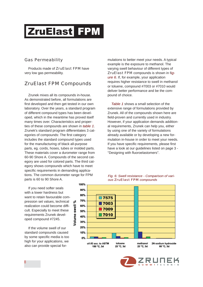#### *Gas Permeability*

Products made of ZruElast FPM have very low gas permeability.

### ZruElast FPM Compounds

Zrunek mixes all its compounds in-house. As demonstrated before, all formulations are first developed and then get tested in our own laboratory. Over the years, a standard program of different compound types has been developed, which in the meantime has proved itself many times over. Characteristics and properties of these compounds are shown in *table 1*. Zrunek's standard program differentiates 3 categories of compounds: The first category includes the standard compound types used for the manufacturing of black all-purpose parts, eg. cords, hoses, tubes or molded parts. These materials cover a durometer range from 60-90 Shore A. Compounds of the second category are used for colored parts. The third category shows compounds which have to meet specific requirements in demanding applications. The common durometer range for FPM parts is 60 to 90 Shore A.

mulations to better meet your needs. A typical example is the exposure to methanol. The varying swell behaviour of different types of ZruElast FPM compounds is shown in f*igure 6*. If, for example, your application requires higher resistance to swell in methanol or toluene, compound #7003 or #7010 would deliver better performance and be the compound of choice.

*Table 1* shows a small selection of the extensive range of formulations provided by Zrunek. All of the compounds shown here are field-proven and currently used in industry. However, if your application demands additional requirements, Zrunek can help you, either by using one of the variety of formulations already available or by developing a new formulation in-house in order to meet your needs. If you have specific requirements, please first have a look at our guidelines listed on page 3 - ''Designing with fluoroelastomers''.

If you need softer seals with a lower hardness but want to retain favourable compression set values, technical realization could become difficult. Especially to meet these requirements Zrunek developed compound #7245.

If the volume swell of our standard compounds caused by some specific media is too high for your applications, we also can provide special for-





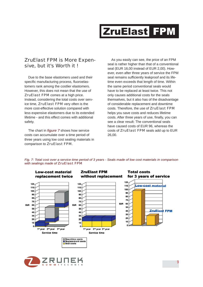### ZruElast FPM is More Expensive, but it's Worth it !

Due to the base elastomers used and their specific manufacturing process, fluoroelastomers rank among the costlier elastomers. However, this does not mean that the use of ZruElast FPM comes at a high price. Instead, considering the total costs over service time, ZruElast FPM very often is the more cost-effective solution compared with less expensive elastomers due to its extended lifetime - and this effect comes with additional safety.

The chart in *figure 7* shows how service costs can accumulate over a time period of three years using low cost sealing materials in comparison to ZruElast FPM.

As you easily can see, the price of an FPM seal is rather higher than that of a conventional seal (EUR 16,00 instead of EUR 2,00). However, even after three years of service the FPM seal remains sufficiently leakproof and its lifetime even exceeds that length of time. Within the same period conventional seals would have to be replaced at least twice. This not only causes additional costs for the seals themselves, but it also has of the disadvantage of considerable replacement and downtime costs. Therefore, the use of ZruElast FPM helps you save costs and reduces lifetime costs. After three years of use, finally, you can see a clear result: The conventional seals have caused costs of EUR 96, whereas the costs of ZruElast FPM seals add up to EUR 26,00.

**ZruElast FPM Total costs Low-cost material** replacement twice without replacement for 3 years of service  $120$ 120 120 Low-cost material 110 110 110 100 100 100 90 90 90 80 80 80 70 70 70 **BJR** 60 **B.R.** 60 **BIR** 60 50 50 50 40 ZruElast FPM 40 40 30  $30$ 30 20 20 20 10 10 10 ò.  $\mathbf{o}$ 1st year 2<sup>nd</sup> year 3<sup>rd</sup> year 1st year 2<sup>nd</sup> year 3<sup>rd</sup> year Service time Service time □ Downtime costs<br>■ Replacement costs<br>□ Seal costs

*Fig. 7: Total cost over a service time period of 3 years - Seals made of low cost materials in comparison with sealings made of ZruElast FPM*

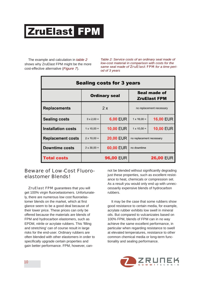The example and calculation in *table 2* shows why ZruElast FPM might be the more cost-effective alternative (*Figure 7*).

*Table 2: Service costs of an ordinary seal made of low-cost material in comparison with costs for the same seal made of ZruElast FPM for a time period of 3 years*

| <b>Sealing costs for 3 years</b> |                                                                    |                  |                                     |                  |
|----------------------------------|--------------------------------------------------------------------|------------------|-------------------------------------|------------------|
|                                  | <b>Ordinary seal</b>                                               |                  | Seal made of<br><b>ZruElast FPM</b> |                  |
| <b>Replacements</b>              | 2x                                                                 |                  | no replacement necessary            |                  |
| <b>Sealing costs</b>             | $3 \times 2.00 =$                                                  | <b>6,00 EUR</b>  | $1 \times 16,00 =$                  | <b>16,00 EUR</b> |
| <b>Installation costs</b>        | $1 \times 10,00 =$                                                 | <b>10,00 EUR</b> | $1 \times 10,00 =$                  | <b>10,00 EUR</b> |
| <b>Replacement costs</b>         | <b>20,00 EUR</b><br>$2 \times 10,00 =$<br>no replacement necessary |                  |                                     |                  |
| <b>Downtime costs</b>            | $2 \times 30,00 =$                                                 | 60,00 EUR        | no downtime                         |                  |
| <b>Total costs</b>               | <b>96,00 EUR</b>                                                   |                  |                                     | <b>26,00 EUR</b> |

### Beware of Low-Cost Fluoroelastomer Blends!

ZruElast FPM guarantees that you will get 100% virgin fluoroelastomers. Unfortunately, there are numerous low cost fluoroelastomer blends on the market, which at first glance seem to be a good deal because of their lower price. These prices can only be offered because the materials are blends of FPM and hydrocarbon elastomers, such as EPDM, nitrile or acrylate rubbers. This 'filling and stretching' can of course result in large risks for the end-user. Ordinary rubbers are often blended with other elastomers in order to specifically upgrade certain properties and gain better performance. FPM, however, can-

not be blended without significantly degrading just these properties, such as excellent resistance to heat, chemicals or compression set. As a result you would only end up with unneccessarily expensive blends of hydrocarbon rubbers.

It may be the case that some rubbers show good resistance to certain media, for example, acrylate rubber exhibits low swell in mineral oils. But compared to vulcanizates based on 100% FPM, blends of FPM can in no way achieve the same excellent performance, in particular when regarding resistance to swell at elevated temperatures, resistance to other common chemical media or long-term functionality and sealing performance.

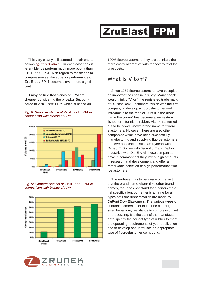This very clearly is illustrated in both charts below (*figures 8 and 9*). In each case the different blends perform much more poorly than ZruElast FPM. With regard to resistance to compression set the superior performance of ZruElast FPM becomes even more significant.

It may be true that blends of FPM are cheaper considering the price/kg. But compared to ZruElast FPM which is based on





*Fig. 9: Compression set of ZruElast FPM in comparison with blends of FPM*





100% fluoroelastomers they are definitely the more costly alternative with respect to total lifetime costs.

### What is Viton®?

Since 1957 fluoroelastomers have occupied an important position in industry. Many people would think of Viton® the registered trade mark of DuPont Dow Elastomers, which was the first company to develop a fluoroelastomer and introduce it to the market. Just like the brand name Perbunan® has become a well-established term for nitrile rubber, Viton® has turned out to be a well-known brand name for fluoroelastomers. However, there are also other companies which have been successfully manufacturing and supplying fluoroelastomers for several decades, such as Dyneon with Dyneon®, Solvay with Tecnoflon® and Daikin Industries with Dai-El®. All these companies have in common that they invest high amounts in research and development and offer a remarkable selection of high-performance fluoroelastomers.

The end-user has to be aware of the fact that the brand name Viton® (like other brand names, too) does not stand for a certain material specification, but rather is a name for all types of fluoro rubbers which are made by DuPont Dow Elastomers. The various types of fluoroelastomers differ in fluorine content, swell behaviour, resistance to compression set or processing. It is the task of the manufacturer to specify the correct type of rubber to meet the operating requirements of your application and to develop and formulate an appropriate type of fluoroelastomer compound.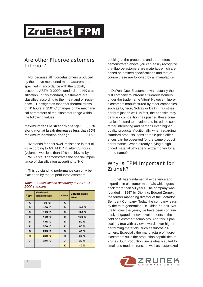### Are other Fluoroelastomers Inferior?

No, because all fluoroelastomers produced by the above mentioned manufacturers are specified in accordance with the globally accepted ASTM D 2000 standard and HK classification. In this standard, elastomers are classified according to their heat and oil resistance. 'H' designates that after thermal stress of 70 hours at 250° C changes of the mechanical parameters of the elastomer range within the following values:

#### **maximum tensile strength change:** ± **30% elongation at break decreases less than 50% maximum hardness change :**  $\pm 15$

'K' stands for best swell resistance in test oil #3 according to ASTM D 471 after 70 hours (volume swell less than 10%), achieved by FPM. *Table 3* demonstrates the special importance of classification according to 'HK'.

This outstanding performance can only be exceeded by that of perfluoroelastomers.

| Type | <b>Heat-test</b><br>temperature | <b>Class</b> | <b>Volume swell</b><br>max. |
|------|---------------------------------|--------------|-----------------------------|
| A    | 70 °C                           | A            |                             |
| в    | 100 °C                          | в            | 140 %                       |
| c    | 125 °C                          | c            | 120 %                       |
| D    | 150 °C                          | D            | 100 %                       |
| Е    | 175 °C                          | Е            | 80 %                        |
| F    | 200 °C                          | F            | 60 %                        |
| G    | 225 °C                          | G            | 40 %                        |
| н    | 250 °C                          | н            | 30 %                        |
| J    | 275 °C                          | J            | 20%                         |
|      |                                 | ĸ            | 10 %                        |

#### *Table 3: Classification according to ASTM D 2000 standard*

Looking at the properties and parameters demonstrated above you can easily recognize that fluoroelastomers are materials which are based on defined specifications and that of course these are followed by all manufacturers.

DuPont Dow Elastomers was actually the first company to introduce fluoroelastomers under the trade name Viton® However, fluoroelastomers manufactured by other companies, such as Dyneon, Solvay or Daikin Industries, perform just as well. In fact, the opposite may be true - competition has pushed these companies forward to develop and introduce some rather interesting and perhaps even higher quality products. Additionally, when regarding standard products, considerable price differences can be observed for the same product performance. When already buying a highpriced material why spend extra money for a brand name?

### Why is FPM Important for Zrunek?

Zrunek has fundamental experience and expertise in elastomer materials which goes back more than 50 years. The company was founded in 1947 by Dipl.Ing. Eduard Zrunek, the former managing director of the 'Matador' Semperit Company. Today the company is run by the third generation, Dr. Ulrich Zrunek. Naturally, over the years, we have been continuously engaged in new developments in the field of elastomer technology. And this is particularly true with a view towards ever higher performing materials, such as fluoroelastomers. Especially the manufacture of fluoroelastomers suits the production capabilities of Zrunek. Our production line is ideally suited for small and medium runs, as well as customized

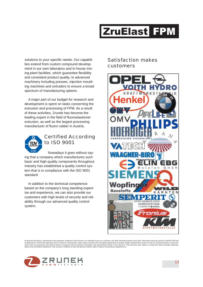solutions to your specific needs. Our capabilities extend from custom compound development in our own laboratory and in-house mixing-plant facilities, which guarantee flexibility and consistent product quality, to advanced machinery including presses, injection moulding machines and extruders to ensure a broad spectrum of manufacturing options.

A major part of our budget for research and development is spent on tasks concerning the extrusion and processing of FPM. As a result of these activities, Zrunek has become the leading expert in the field of fluoroelastomer extrusion, as well as the largest processing manufacturer of fluoro rubber in Austria.



# Certified According to ISO 9001

Nowadays it goes without saying that a company which manufactures such basic and high-quality components throughout industry has established a quality control system that is in compliance with the ISO 9001 standard.

In addition to the technical competence based on the company's long standing expertise and experience, we can also provide our customers with high levels of security and reliability through our advanced quality control system.

### Satisfaction makes customers



All general information, specifications and proposals contained in this brochure are intended to give our customers and other interested parties some basic information about the product ZruElast FPM and<br>its applications. A